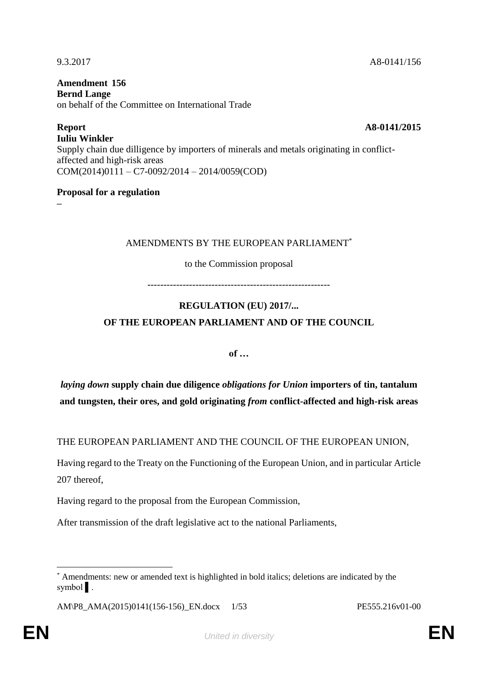**Report A8-0141/2015 Iuliu Winkler** Supply chain due dilligence by importers of minerals and metals originating in conflictaffected and high-risk areas COM(2014)0111 – C7-0092/2014 – 2014/0059(COD)

#### **Proposal for a regulation**

**–**

#### AMENDMENTS BY THE EUROPEAN PARLIAMENT<sup>\*</sup>

to the Commission proposal

---------------------------------------------------------

# **REGULATION (EU) 2017/... OF THE EUROPEAN PARLIAMENT AND OF THE COUNCIL**

**of …**

*laying down* **supply chain due diligence** *obligations for Union* **importers of tin, tantalum and tungsten, their ores, and gold originating** *from* **conflict-affected and high-risk areas** 

THE EUROPEAN PARLIAMENT AND THE COUNCIL OF THE EUROPEAN UNION,

Having regard to the Treaty on the Functioning of the European Union, and in particular Article 207 thereof,

Having regard to the proposal from the European Commission,

After transmission of the draft legislative act to the national Parliaments,

 $\overline{a}$ Amendments: new or amended text is highlighted in bold italics; deletions are indicated by the symbol ▌.

AM\P8\_AMA(2015)0141(156-156)\_EN.docx 1/53 PE555.216v01-00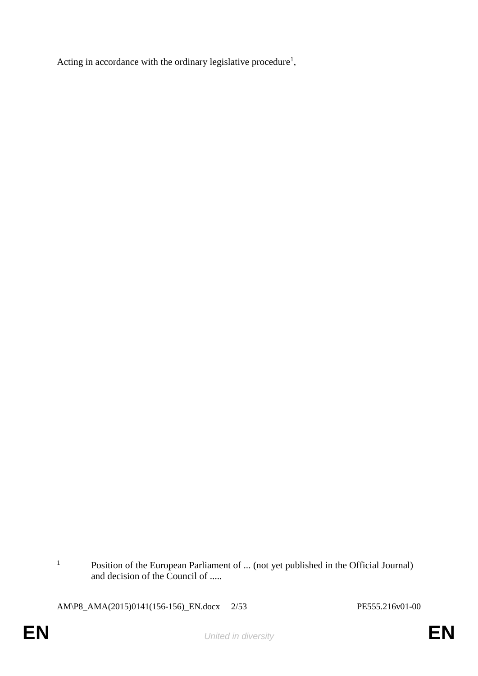Acting in accordance with the ordinary legislative procedure<sup>1</sup>,

 $\overline{1}$ Position of the European Parliament of ... (not yet published in the Official Journal) and decision of the Council of .....

AM\P8\_AMA(2015)0141(156-156)\_EN.docx 2/53 PE555.216v01-00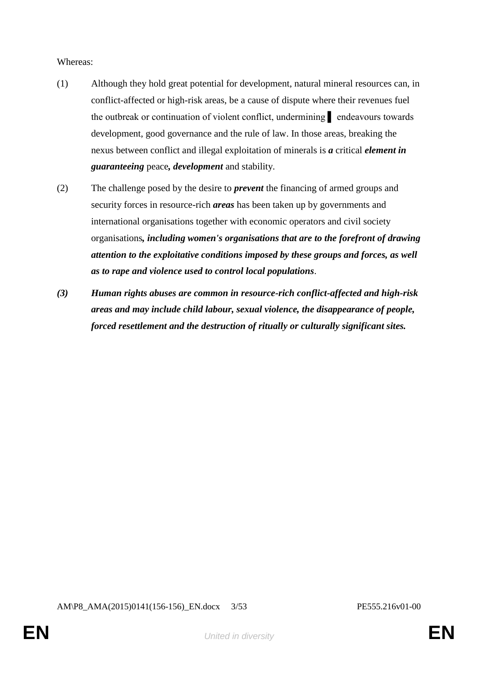#### Whereas:

- (1) Although they hold great potential for development, natural mineral resources can, in conflict-affected or high-risk areas, be a cause of dispute where their revenues fuel the outbreak or continuation of violent conflict, undermining ▌ endeavours towards development, good governance and the rule of law. In those areas, breaking the nexus between conflict and illegal exploitation of minerals is *a* critical *element in guaranteeing* peace*, development* and stability.
- (2) The challenge posed by the desire to *prevent* the financing of armed groups and security forces in resource-rich *areas* has been taken up by governments and international organisations together with economic operators and civil society organisations*, including women's organisations that are to the forefront of drawing attention to the exploitative conditions imposed by these groups and forces, as well as to rape and violence used to control local populations*.
- *(3) Human rights abuses are common in resource-rich conflict-affected and high-risk areas and may include child labour, sexual violence, the disappearance of people, forced resettlement and the destruction of ritually or culturally significant sites.*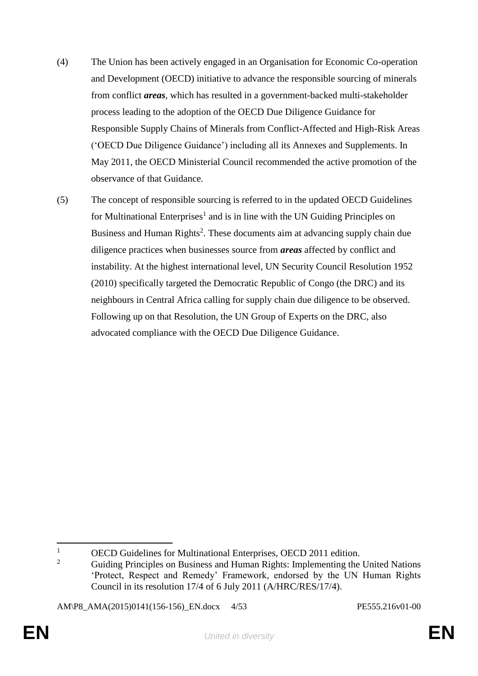- (4) The Union has been actively engaged in an Organisation for Economic Co-operation and Development (OECD) initiative to advance the responsible sourcing of minerals from conflict *areas*, which has resulted in a government-backed multi-stakeholder process leading to the adoption of the OECD Due Diligence Guidance for Responsible Supply Chains of Minerals from Conflict-Affected and High-Risk Areas ('OECD Due Diligence Guidance') including all its Annexes and Supplements. In May 2011, the OECD Ministerial Council recommended the active promotion of the observance of that Guidance.
- (5) The concept of responsible sourcing is referred to in the updated OECD Guidelines for Multinational Enterprises<sup>1</sup> and is in line with the UN Guiding Principles on Business and Human Rights<sup>2</sup>. These documents aim at advancing supply chain due diligence practices when businesses source from *areas* affected by conflict and instability. At the highest international level, UN Security Council Resolution 1952 (2010) specifically targeted the Democratic Republic of Congo (the DRC) and its neighbours in Central Africa calling for supply chain due diligence to be observed. Following up on that Resolution, the UN Group of Experts on the DRC, also advocated compliance with the OECD Due Diligence Guidance.

AM\P8\_AMA(2015)0141(156-156)\_EN.docx 4/53 PE555.216v01-00

 $\mathbf{1}$  $\frac{1}{2}$  OECD Guidelines for Multinational Enterprises, OECD 2011 edition.

<sup>2</sup> Guiding Principles on Business and Human Rights: Implementing the United Nations 'Protect, Respect and Remedy' Framework, endorsed by the UN Human Rights Council in its resolution 17/4 of 6 July 2011 (A/HRC/RES/17/4).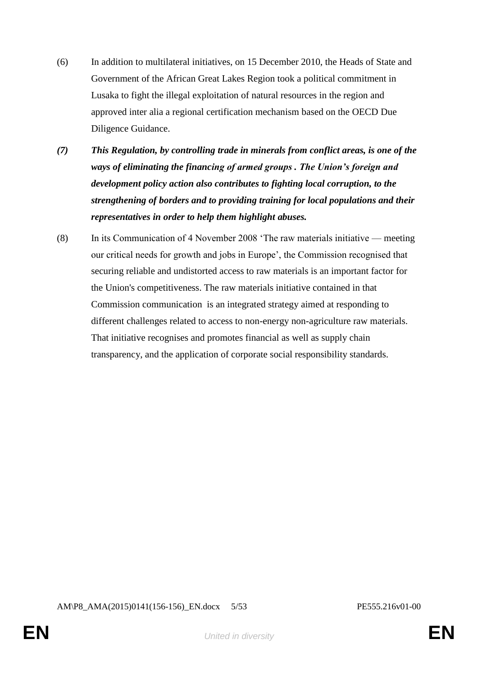- (6) In addition to multilateral initiatives, on 15 December 2010, the Heads of State and Government of the African Great Lakes Region took a political commitment in Lusaka to fight the illegal exploitation of natural resources in the region and approved inter alia a regional certification mechanism based on the OECD Due Diligence Guidance.
- *(7) This Regulation, by controlling trade in minerals from conflict areas, is one of the ways of eliminating the financing of armed groups . The Union's foreign and development policy action also contributes to fighting local corruption, to the strengthening of borders and to providing training for local populations and their representatives in order to help them highlight abuses.*
- (8) In its Communication of 4 November 2008 'The raw materials initiative meeting our critical needs for growth and jobs in Europe', the Commission recognised that securing reliable and undistorted access to raw materials is an important factor for the Union's competitiveness. The raw materials initiative contained in that Commission communication is an integrated strategy aimed at responding to different challenges related to access to non-energy non-agriculture raw materials. That initiative recognises and promotes financial as well as supply chain transparency, and the application of corporate social responsibility standards.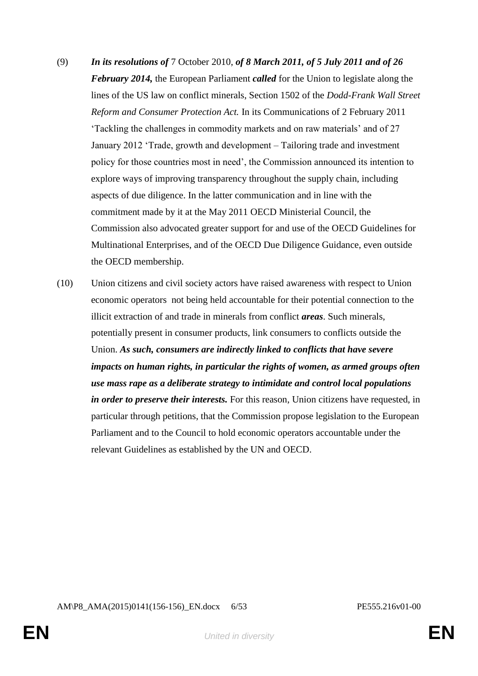- (9) *In its resolutions of* 7 October 2010, *of 8 March 2011, of 5 July 2011 and of 26 February 2014,* the European Parliament *called* for the Union to legislate along the lines of the US law on conflict minerals, Section 1502 of the *Dodd-Frank Wall Street Reform and Consumer Protection Act.* In its Communications of 2 February 2011 'Tackling the challenges in commodity markets and on raw materials' and of 27 January 2012 'Trade, growth and development – Tailoring trade and investment policy for those countries most in need', the Commission announced its intention to explore ways of improving transparency throughout the supply chain, including aspects of due diligence. In the latter communication and in line with the commitment made by it at the May 2011 OECD Ministerial Council, the Commission also advocated greater support for and use of the OECD Guidelines for Multinational Enterprises, and of the OECD Due Diligence Guidance, even outside the OECD membership.
- (10) Union citizens and civil society actors have raised awareness with respect to Union economic operators not being held accountable for their potential connection to the illicit extraction of and trade in minerals from conflict *areas*. Such minerals, potentially present in consumer products, link consumers to conflicts outside the Union. *As such, consumers are indirectly linked to conflicts that have severe impacts on human rights, in particular the rights of women, as armed groups often use mass rape as a deliberate strategy to intimidate and control local populations in order to preserve their interests.* For this reason, Union citizens have requested, in particular through petitions, that the Commission propose legislation to the European Parliament and to the Council to hold economic operators accountable under the relevant Guidelines as established by the UN and OECD.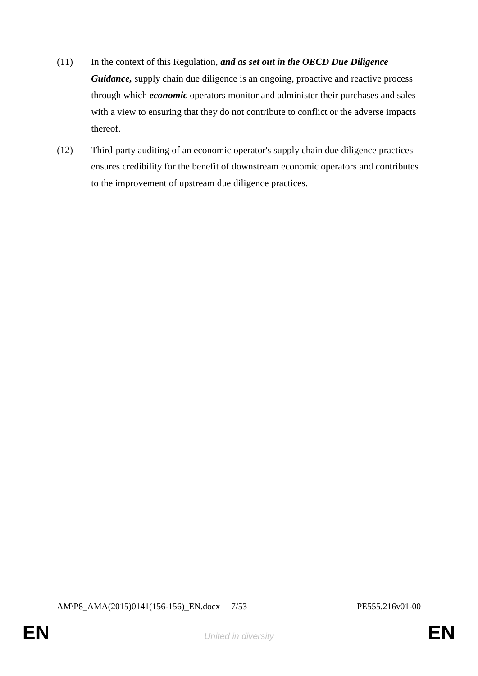- (11) In the context of this Regulation, *and as set out in the OECD Due Diligence*  Guidance, supply chain due diligence is an ongoing, proactive and reactive process through which *economic* operators monitor and administer their purchases and sales with a view to ensuring that they do not contribute to conflict or the adverse impacts thereof.
- (12) Third-party auditing of an economic operator's supply chain due diligence practices ensures credibility for the benefit of downstream economic operators and contributes to the improvement of upstream due diligence practices.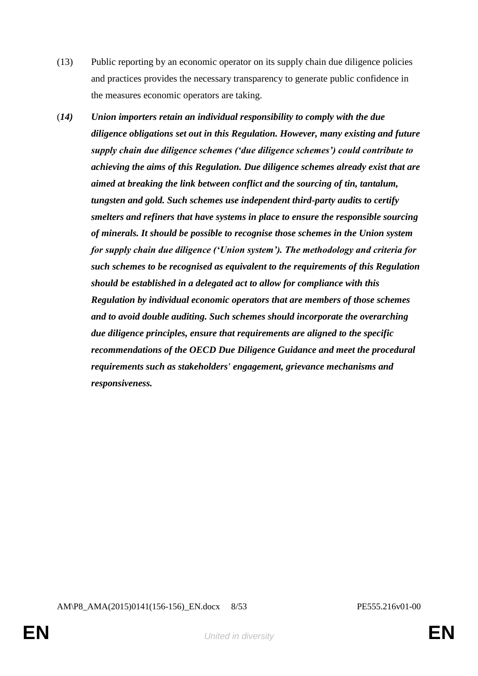- (13) Public reporting by an economic operator on its supply chain due diligence policies and practices provides the necessary transparency to generate public confidence in the measures economic operators are taking.
- (*14) Union importers retain an individual responsibility to comply with the due diligence obligations set out in this Regulation. However, many existing and future supply chain due diligence schemes ('due diligence schemes') could contribute to achieving the aims of this Regulation. Due diligence schemes already exist that are aimed at breaking the link between conflict and the sourcing of tin, tantalum, tungsten and gold. Such schemes use independent third-party audits to certify smelters and refiners that have systems in place to ensure the responsible sourcing of minerals. It should be possible to recognise those schemes in the Union system for supply chain due diligence ('Union system'). The methodology and criteria for such schemes to be recognised as equivalent to the requirements of this Regulation should be established in a delegated act to allow for compliance with this Regulation by individual economic operators that are members of those schemes and to avoid double auditing. Such schemes should incorporate the overarching due diligence principles, ensure that requirements are aligned to the specific recommendations of the OECD Due Diligence Guidance and meet the procedural requirements such as stakeholders' engagement, grievance mechanisms and responsiveness.*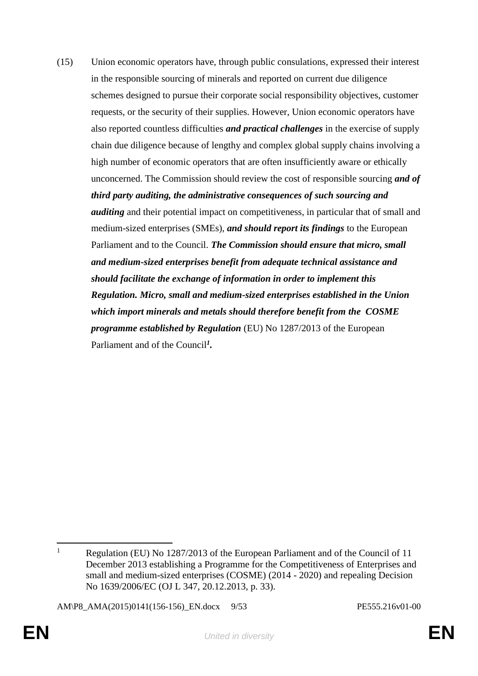(15) Union economic operators have, through public consulations, expressed their interest in the responsible sourcing of minerals and reported on current due diligence schemes designed to pursue their corporate social responsibility objectives, customer requests, or the security of their supplies. However, Union economic operators have also reported countless difficulties *and practical challenges* in the exercise of supply chain due diligence because of lengthy and complex global supply chains involving a high number of economic operators that are often insufficiently aware or ethically unconcerned. The Commission should review the cost of responsible sourcing *and of third party auditing, the administrative consequences of such sourcing and auditing* and their potential impact on competitiveness, in particular that of small and medium-sized enterprises (SMEs), *and should report its findings* to the European Parliament and to the Council. *The Commission should ensure that micro, small and medium-sized enterprises benefit from adequate technical assistance and should facilitate the exchange of information in order to implement this Regulation. Micro, small and medium-sized enterprises established in the Union which import minerals and metals should therefore benefit from the COSME programme established by Regulation* (EU) No 1287/2013 of the European Parliament and of the Council*<sup>1</sup> .*

 $\mathbf{1}$ Regulation (EU) No 1287/2013 of the European Parliament and of the Council of 11 December 2013 establishing a Programme for the Competitiveness of Enterprises and small and medium-sized enterprises (COSME) (2014 - 2020) and repealing Decision No 1639/2006/EC (OJ L 347, 20.12.2013, p. 33).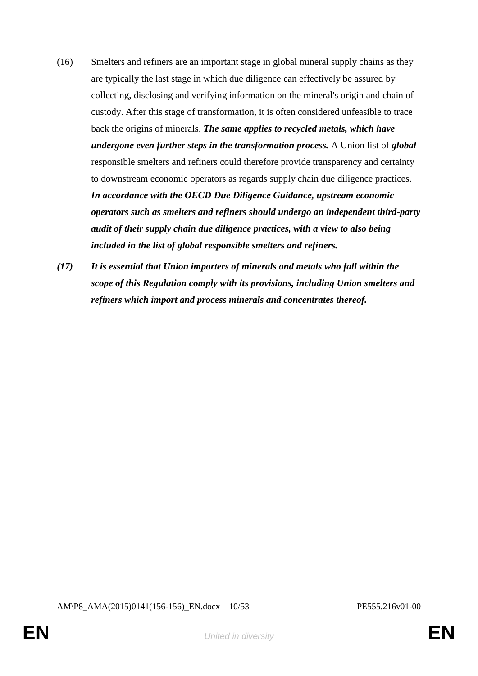- (16) Smelters and refiners are an important stage in global mineral supply chains as they are typically the last stage in which due diligence can effectively be assured by collecting, disclosing and verifying information on the mineral's origin and chain of custody. After this stage of transformation, it is often considered unfeasible to trace back the origins of minerals. *The same applies to recycled metals, which have undergone even further steps in the transformation process.* A Union list of *global* responsible smelters and refiners could therefore provide transparency and certainty to downstream economic operators as regards supply chain due diligence practices. *In accordance with the OECD Due Diligence Guidance, upstream economic operators such as smelters and refiners should undergo an independent third-party audit of their supply chain due diligence practices, with a view to also being included in the list of global responsible smelters and refiners.*
- *(17) It is essential that Union importers of minerals and metals who fall within the scope of this Regulation comply with its provisions, including Union smelters and refiners which import and process minerals and concentrates thereof.*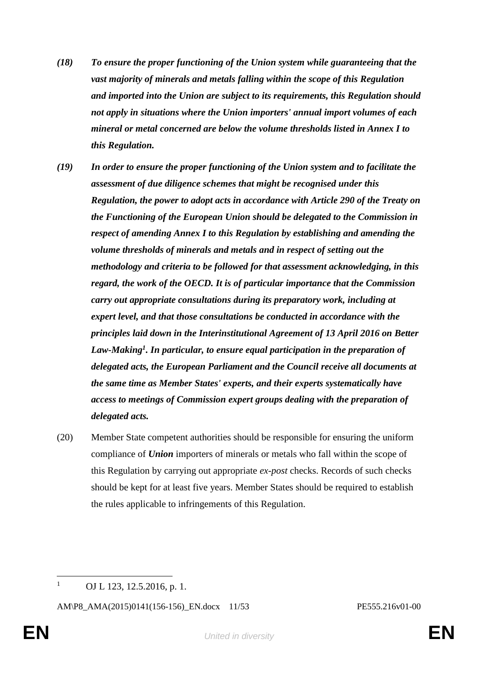- *(18) To ensure the proper functioning of the Union system while guaranteeing that the vast majority of minerals and metals falling within the scope of this Regulation and imported into the Union are subject to its requirements, this Regulation should not apply in situations where the Union importers' annual import volumes of each mineral or metal concerned are below the volume thresholds listed in Annex I to this Regulation.*
- *(19) In order to ensure the proper functioning of the Union system and to facilitate the assessment of due diligence schemes that might be recognised under this Regulation, the power to adopt acts in accordance with Article 290 of the Treaty on the Functioning of the European Union should be delegated to the Commission in respect of amending Annex I to this Regulation by establishing and amending the volume thresholds of minerals and metals and in respect of setting out the methodology and criteria to be followed for that assessment acknowledging, in this regard, the work of the OECD. It is of particular importance that the Commission carry out appropriate consultations during its preparatory work, including at expert level, and that those consultations be conducted in accordance with the principles laid down in the Interinstitutional Agreement of 13 April 2016 on Better Law-Making<sup>1</sup> . In particular, to ensure equal participation in the preparation of delegated acts, the European Parliament and the Council receive all documents at the same time as Member States' experts, and their experts systematically have access to meetings of Commission expert groups dealing with the preparation of delegated acts.*
- (20) Member State competent authorities should be responsible for ensuring the uniform compliance of *Union* importers of minerals or metals who fall within the scope of this Regulation by carrying out appropriate *ex-post* checks. Records of such checks should be kept for at least five years. Member States should be required to establish the rules applicable to infringements of this Regulation.

 $\overline{a}$ 

<sup>&</sup>lt;sup>1</sup> OJ L 123, 12.5.2016, p. 1.

AM\P8\_AMA(2015)0141(156-156)\_EN.docx 11/53 PE555.216v01-00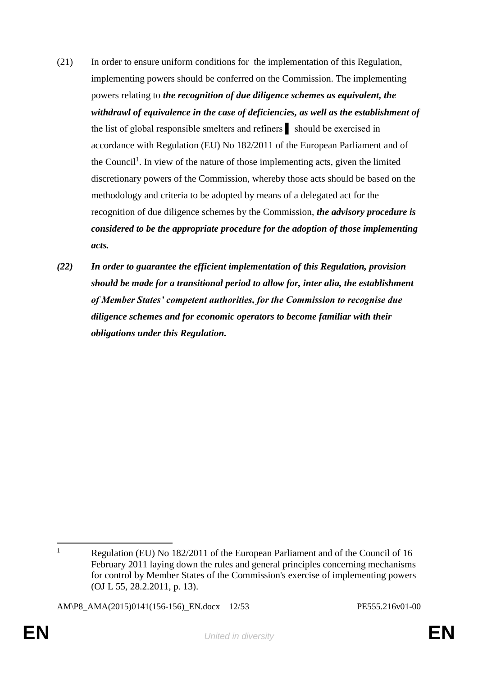- (21) In order to ensure uniform conditions for the implementation of this Regulation, implementing powers should be conferred on the Commission. The implementing powers relating to *the recognition of due diligence schemes as equivalent, the withdrawl of equivalence in the case of deficiencies, as well as the establishment of* the list of global responsible smelters and refiners ▌ should be exercised in accordance with Regulation (EU) No 182/2011 of the European Parliament and of the Council<sup>1</sup>. In view of the nature of those implementing acts, given the limited discretionary powers of the Commission, whereby those acts should be based on the methodology and criteria to be adopted by means of a delegated act for the recognition of due diligence schemes by the Commission, *the advisory procedure is considered to be the appropriate procedure for the adoption of those implementing acts.*
- *(22) In order to guarantee the efficient implementation of this Regulation, provision should be made for a transitional period to allow for, inter alia, the establishment of Member States' competent authorities, for the Commission to recognise due diligence schemes and for economic operators to become familiar with their obligations under this Regulation.*

AM\P8\_AMA(2015)0141(156-156)\_EN.docx 12/53 PE555.216v01-00

 $\mathbf{1}$ Regulation (EU) No 182/2011 of the European Parliament and of the Council of 16 February 2011 laying down the rules and general principles concerning mechanisms for control by Member States of the Commission's exercise of implementing powers (OJ L 55, 28.2.2011, p. 13).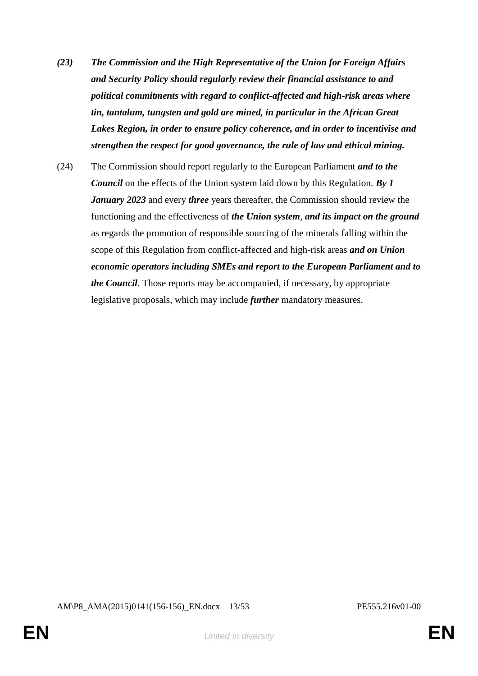- *(23) The Commission and the High Representative of the Union for Foreign Affairs and Security Policy should regularly review their financial assistance to and political commitments with regard to conflict-affected and high-risk areas where tin, tantalum, tungsten and gold are mined, in particular in the African Great Lakes Region, in order to ensure policy coherence, and in order to incentivise and strengthen the respect for good governance, the rule of law and ethical mining.*
- (24) The Commission should report regularly to the European Parliament *and to the Council* on the effects of the Union system laid down by this Regulation. *By 1 January 2023* and every *three* years thereafter, the Commission should review the functioning and the effectiveness of *the Union system*, *and its impact on the ground* as regards the promotion of responsible sourcing of the minerals falling within the scope of this Regulation from conflict-affected and high-risk areas *and on Union economic operators including SMEs and report to the European Parliament and to the Council*. Those reports may be accompanied, if necessary, by appropriate legislative proposals, which may include *further* mandatory measures.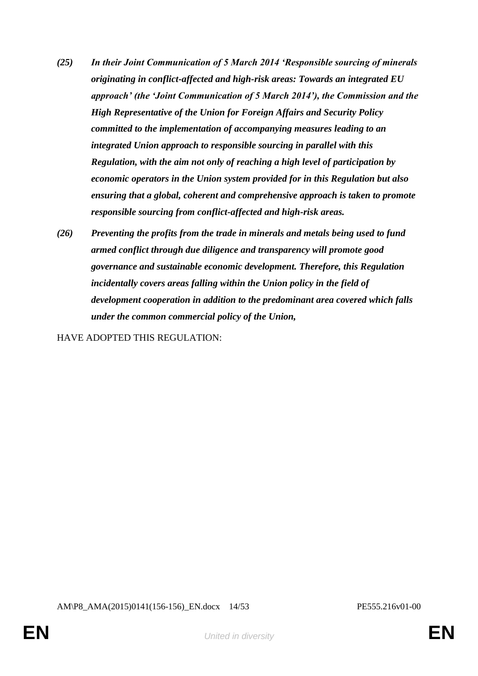- *(25) In their Joint Communication of 5 March 2014 'Responsible sourcing of minerals originating in conflict-affected and high-risk areas: Towards an integrated EU approach' (the 'Joint Communication of 5 March 2014'), the Commission and the High Representative of the Union for Foreign Affairs and Security Policy committed to the implementation of accompanying measures leading to an integrated Union approach to responsible sourcing in parallel with this Regulation, with the aim not only of reaching a high level of participation by economic operators in the Union system provided for in this Regulation but also ensuring that a global, coherent and comprehensive approach is taken to promote responsible sourcing from conflict-affected and high-risk areas.*
- *(26) Preventing the profits from the trade in minerals and metals being used to fund armed conflict through due diligence and transparency will promote good governance and sustainable economic development. Therefore, this Regulation incidentally covers areas falling within the Union policy in the field of development cooperation in addition to the predominant area covered which falls under the common commercial policy of the Union,*

HAVE ADOPTED THIS REGULATION:

AM\P8\_AMA(2015)0141(156-156)\_EN.docx 14/53 PE555.216v01-00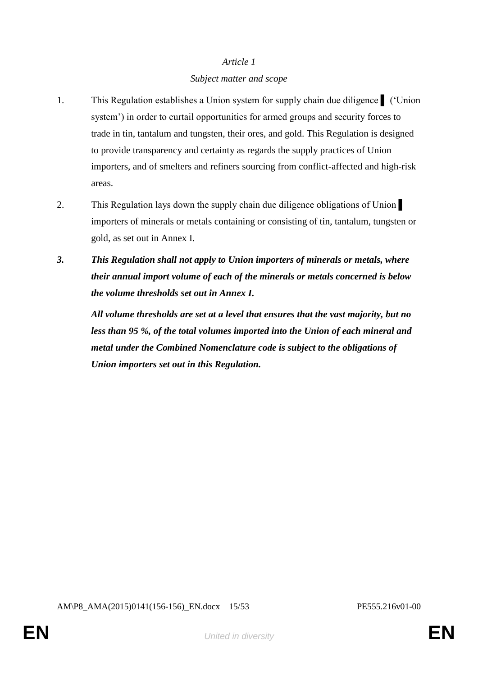## *Subject matter and scope*

- 1. This Regulation establishes a Union system for supply chain due diligence ▌ ('Union system') in order to curtail opportunities for armed groups and security forces to trade in tin, tantalum and tungsten, their ores, and gold. This Regulation is designed to provide transparency and certainty as regards the supply practices of Union importers, and of smelters and refiners sourcing from conflict-affected and high-risk areas.
- 2. This Regulation lays down the supply chain due diligence obligations of Union importers of minerals or metals containing or consisting of tin, tantalum, tungsten or gold, as set out in Annex I.
- *3. This Regulation shall not apply to Union importers of minerals or metals, where their annual import volume of each of the minerals or metals concerned is below the volume thresholds set out in Annex I.*

*All volume thresholds are set at a level that ensures that the vast majority, but no less than 95 %, of the total volumes imported into the Union of each mineral and metal under the Combined Nomenclature code is subject to the obligations of Union importers set out in this Regulation.*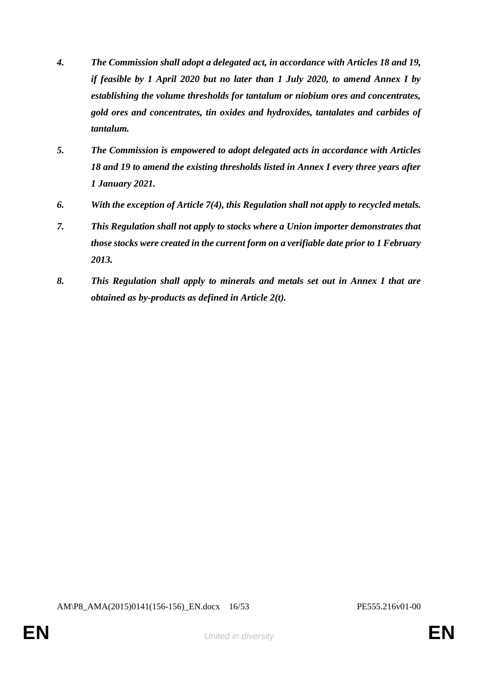- *4. The Commission shall adopt a delegated act, in accordance with Articles 18 and 19, if feasible by 1 April 2020 but no later than 1 July 2020, to amend Annex I by establishing the volume thresholds for tantalum or niobium ores and concentrates, gold ores and concentrates, tin oxides and hydroxides, tantalates and carbides of tantalum.*
- *5. The Commission is empowered to adopt delegated acts in accordance with Articles 18 and 19 to amend the existing thresholds listed in Annex I every three years after 1 January 2021.*
- *6. With the exception of Article 7(4), this Regulation shall not apply to recycled metals.*
- *7. This Regulation shall not apply to stocks where a Union importer demonstrates that those stocks were created in the current form on a verifiable date prior to 1 February 2013.*
- *8. This Regulation shall apply to minerals and metals set out in Annex I that are obtained as by-products as defined in Article 2(t).*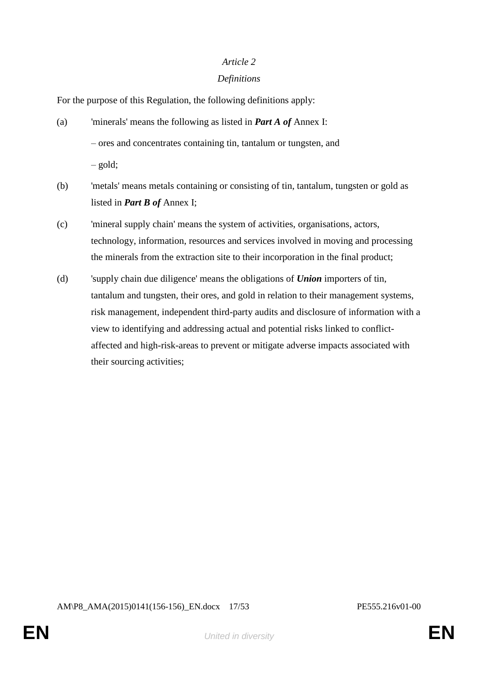### *Definitions*

For the purpose of this Regulation, the following definitions apply:

- (a) 'minerals' means the following as listed in *Part A of* Annex I: – ores and concentrates containing tin, tantalum or tungsten, and – gold;
- (b) 'metals' means metals containing or consisting of tin, tantalum, tungsten or gold as listed in *Part B of* Annex I;
- (c) 'mineral supply chain' means the system of activities, organisations, actors, technology, information, resources and services involved in moving and processing the minerals from the extraction site to their incorporation in the final product;
- (d) 'supply chain due diligence' means the obligations of *Union* importers of tin, tantalum and tungsten, their ores, and gold in relation to their management systems, risk management, independent third-party audits and disclosure of information with a view to identifying and addressing actual and potential risks linked to conflictaffected and high-risk-areas to prevent or mitigate adverse impacts associated with their sourcing activities;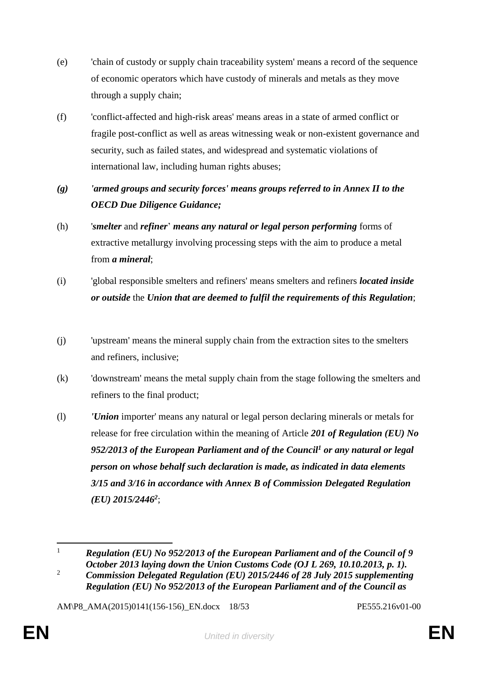- (e) 'chain of custody or supply chain traceability system' means a record of the sequence of economic operators which have custody of minerals and metals as they move through a supply chain;
- (f) 'conflict-affected and high-risk areas' means areas in a state of armed conflict or fragile post-conflict as well as areas witnessing weak or non-existent governance and security, such as failed states, and widespread and systematic violations of international law, including human rights abuses;
- *(g) 'armed groups and security forces' means groups referred to in Annex II to the OECD Due Diligence Guidance;*
- (h) '*smelter* and *refiner*' *means any natural or legal person performing* forms of extractive metallurgy involving processing steps with the aim to produce a metal from *a mineral*;
- (i) 'global responsible smelters and refiners' means smelters and refiners *located inside or outside* the *Union that are deemed to fulfil the requirements of this Regulation*;
- (j) 'upstream' means the mineral supply chain from the extraction sites to the smelters and refiners, inclusive;
- (k) 'downstream' means the metal supply chain from the stage following the smelters and refiners to the final product;
- (l) *'Union* importer' means any natural or legal person declaring minerals or metals for release for free circulation within the meaning of Article *201 of Regulation (EU) No 952/2013 of the European Parliament and of the Council<sup>1</sup> or any natural or legal person on whose behalf such declaration is made, as indicated in data elements 3/15 and 3/16 in accordance with Annex B of Commission Delegated Regulation (EU) 2015/2446<sup>2</sup>* ;

AM\P8\_AMA(2015)0141(156-156)\_EN.docx 18/53 PE555.216v01-00

 $\mathbf{1}$ <sup>1</sup> *Regulation (EU) No 952/2013 of the European Parliament and of the Council of 9 October 2013 laying down the Union Customs Code (OJ L 269, 10.10.2013, p. 1).*

<sup>2</sup> *Commission Delegated Regulation (EU) 2015/2446 of 28 July 2015 supplementing Regulation (EU) No 952/2013 of the European Parliament and of the Council as*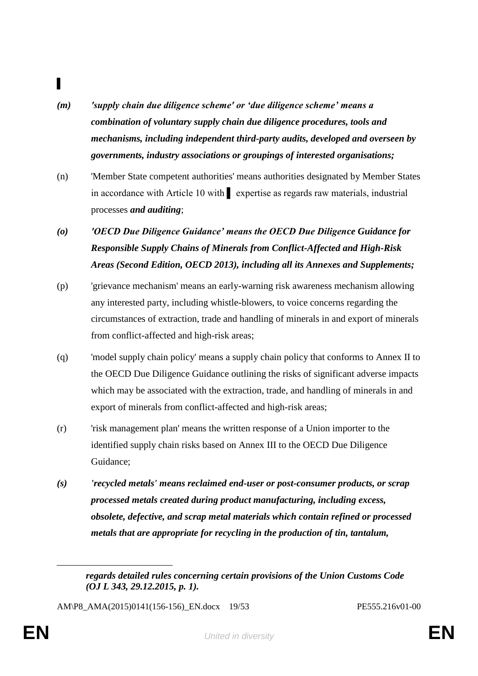# ▌

- *(m) 'supply chain due diligence scheme' or 'due diligence scheme' means a combination of voluntary supply chain due diligence procedures, tools and mechanisms, including independent third-party audits, developed and overseen by governments, industry associations or groupings of interested organisations;*
- (n) 'Member State competent authorities' means authorities designated by Member States in accordance with Article 10 with ▌ expertise as regards raw materials, industrial processes *and auditing*;
- *(o) 'OECD Due Diligence Guidance' means the OECD Due Diligence Guidance for Responsible Supply Chains of Minerals from Conflict-Affected and High-Risk Areas (Second Edition, OECD 2013), including all its Annexes and Supplements;*
- (p) 'grievance mechanism' means an early-warning risk awareness mechanism allowing any interested party, including whistle-blowers, to voice concerns regarding the circumstances of extraction, trade and handling of minerals in and export of minerals from conflict-affected and high-risk areas;
- (q) 'model supply chain policy' means a supply chain policy that conforms to Annex II to the OECD Due Diligence Guidance outlining the risks of significant adverse impacts which may be associated with the extraction, trade, and handling of minerals in and export of minerals from conflict-affected and high-risk areas;
- (r) 'risk management plan' means the written response of a Union importer to the identified supply chain risks based on Annex III to the OECD Due Diligence Guidance;
- *(s) 'recycled metals' means reclaimed end-user or post-consumer products, or scrap processed metals created during product manufacturing, including excess, obsolete, defective, and scrap metal materials which contain refined or processed metals that are appropriate for recycling in the production of tin, tantalum,*

AM\P8\_AMA(2015)0141(156-156)\_EN.docx 19/53 PE555.216v01-00

 $\overline{a}$ 

*regards detailed rules concerning certain provisions of the Union Customs Code (OJ L 343, 29.12.2015, p. 1).*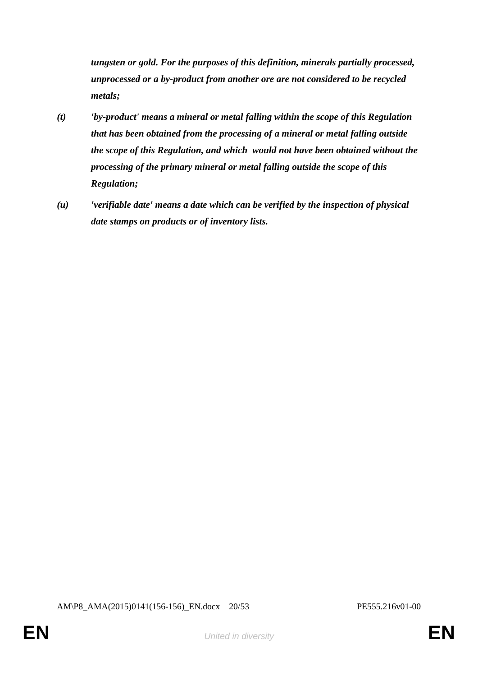*tungsten or gold. For the purposes of this definition, minerals partially processed, unprocessed or a by-product from another ore are not considered to be recycled metals;*

- *(t) 'by-product' means a mineral or metal falling within the scope of this Regulation that has been obtained from the processing of a mineral or metal falling outside the scope of this Regulation, and which would not have been obtained without the processing of the primary mineral or metal falling outside the scope of this Regulation;*
- *(u) 'verifiable date' means a date which can be verified by the inspection of physical date stamps on products or of inventory lists.*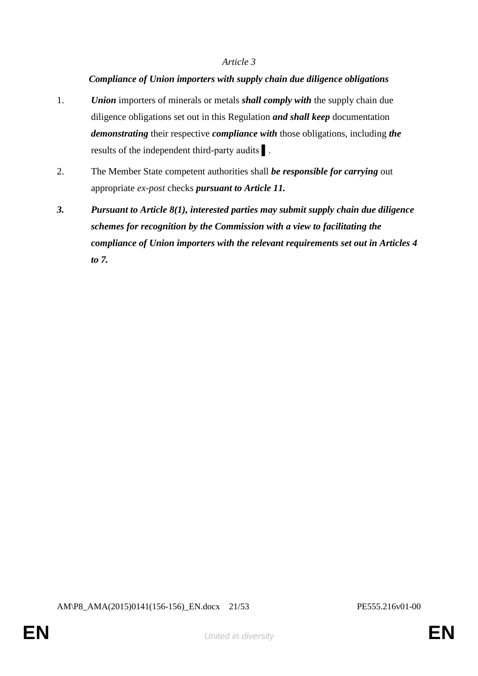#### *Compliance of Union importers with supply chain due diligence obligations*

- 1. *Union* importers of minerals or metals *shall comply with* the supply chain due diligence obligations set out in this Regulation *and shall keep* documentation *demonstrating* their respective *compliance with* those obligations, including *the* results of the independent third-party audits ▌.
- 2. The Member State competent authorities shall *be responsible for carrying* out appropriate *ex-post* checks *pursuant to Article 11.*
- *3. Pursuant to Article 8(1), interested parties may submit supply chain due diligence schemes for recognition by the Commission with a view to facilitating the compliance of Union importers with the relevant requirements set out in Articles 4 to 7.*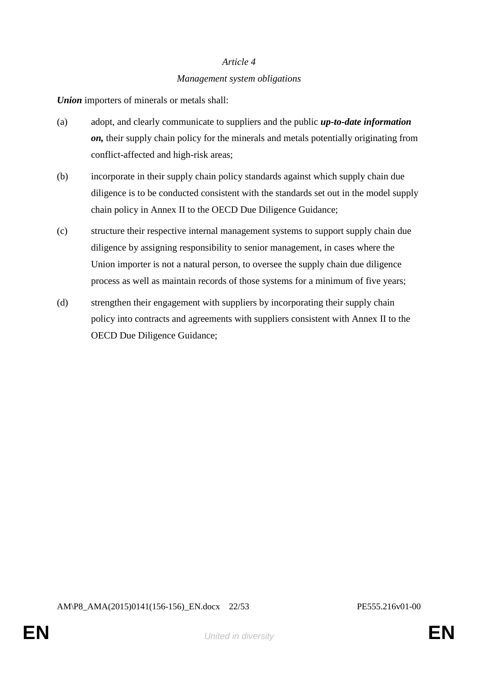# *Article 4 Management system obligations*

*Union* importers of minerals or metals shall:

- (a) adopt, and clearly communicate to suppliers and the public *up-to-date information on,* their supply chain policy for the minerals and metals potentially originating from conflict-affected and high-risk areas;
- (b) incorporate in their supply chain policy standards against which supply chain due diligence is to be conducted consistent with the standards set out in the model supply chain policy in Annex II to the OECD Due Diligence Guidance;
- (c) structure their respective internal management systems to support supply chain due diligence by assigning responsibility to senior management, in cases where the Union importer is not a natural person, to oversee the supply chain due diligence process as well as maintain records of those systems for a minimum of five years;
- (d) strengthen their engagement with suppliers by incorporating their supply chain policy into contracts and agreements with suppliers consistent with Annex II to the OECD Due Diligence Guidance;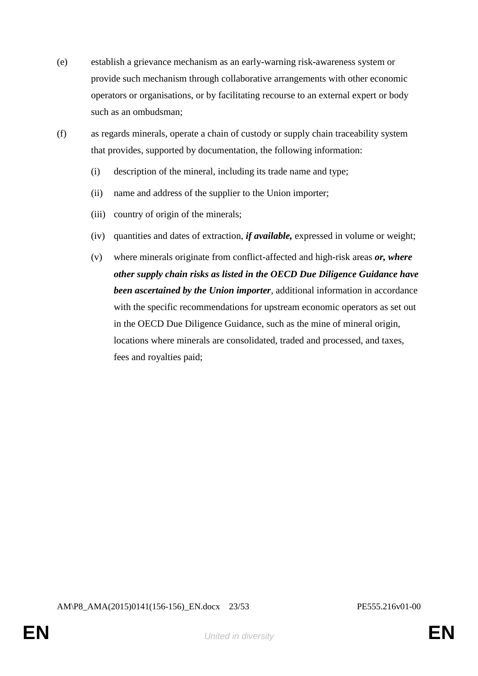- (e) establish a grievance mechanism as an early-warning risk-awareness system or provide such mechanism through collaborative arrangements with other economic operators or organisations, or by facilitating recourse to an external expert or body such as an ombudsman;
- (f) as regards minerals, operate a chain of custody or supply chain traceability system that provides, supported by documentation, the following information:
	- (i) description of the mineral, including its trade name and type;
	- (ii) name and address of the supplier to the Union importer;
	- (iii) country of origin of the minerals;
	- (iv) quantities and dates of extraction, *if available,* expressed in volume or weight;
	- (v) where minerals originate from conflict-affected and high-risk areas *or, where other supply chain risks as listed in the OECD Due Diligence Guidance have been ascertained by the Union importer*, additional information in accordance with the specific recommendations for upstream economic operators as set out in the OECD Due Diligence Guidance, such as the mine of mineral origin, locations where minerals are consolidated, traded and processed, and taxes, fees and royalties paid;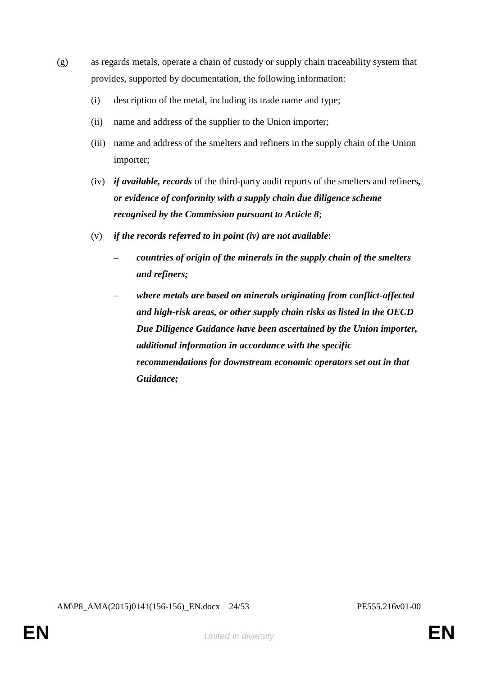- (g) as regards metals, operate a chain of custody or supply chain traceability system that provides, supported by documentation, the following information:
	- (i) description of the metal, including its trade name and type;
	- (ii) name and address of the supplier to the Union importer;
	- (iii) name and address of the smelters and refiners in the supply chain of the Union importer;
	- (iv) *if available, records* of the third-party audit reports of the smelters and refiners*, or evidence of conformity with a supply chain due diligence scheme recognised by the Commission pursuant to Article 8*;
	- (v) *if the records referred to in point (iv) are not available*:
		- *– countries of origin of the minerals in the supply chain of the smelters and refiners;*
		- *where metals are based on minerals originating from conflict-affected and high-risk areas, or other supply chain risks as listed in the OECD Due Diligence Guidance have been ascertained by the Union importer, additional information in accordance with the specific recommendations for downstream economic operators set out in that Guidance;*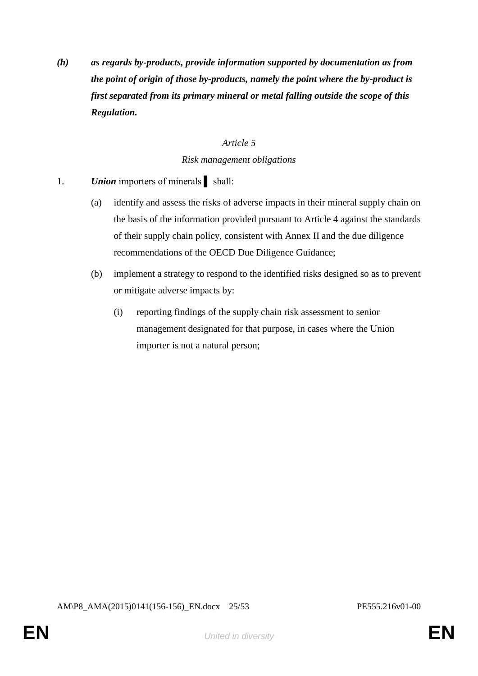*(h) as regards by-products, provide information supported by documentation as from the point of origin of those by-products, namely the point where the by-product is first separated from its primary mineral or metal falling outside the scope of this Regulation.*

#### *Article 5*

#### *Risk management obligations*

- 1. *Union* importers of minerals shall:
	- (a) identify and assess the risks of adverse impacts in their mineral supply chain on the basis of the information provided pursuant to Article 4 against the standards of their supply chain policy, consistent with Annex II and the due diligence recommendations of the OECD Due Diligence Guidance;
	- (b) implement a strategy to respond to the identified risks designed so as to prevent or mitigate adverse impacts by:
		- (i) reporting findings of the supply chain risk assessment to senior management designated for that purpose, in cases where the Union importer is not a natural person;

AM\P8\_AMA(2015)0141(156-156)\_EN.docx 25/53 PE555.216v01-00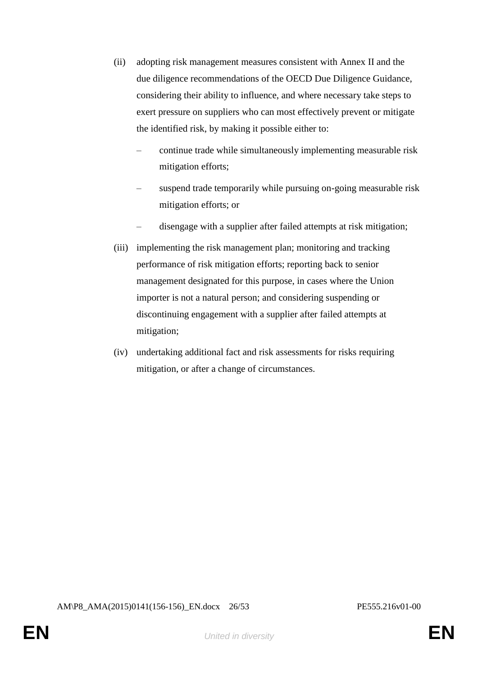- (ii) adopting risk management measures consistent with Annex II and the due diligence recommendations of the OECD Due Diligence Guidance, considering their ability to influence, and where necessary take steps to exert pressure on suppliers who can most effectively prevent or mitigate the identified risk, by making it possible either to:
	- continue trade while simultaneously implementing measurable risk mitigation efforts;
	- suspend trade temporarily while pursuing on-going measurable risk mitigation efforts; or
	- disengage with a supplier after failed attempts at risk mitigation;
- (iii) implementing the risk management plan; monitoring and tracking performance of risk mitigation efforts; reporting back to senior management designated for this purpose, in cases where the Union importer is not a natural person; and considering suspending or discontinuing engagement with a supplier after failed attempts at mitigation;
- (iv) undertaking additional fact and risk assessments for risks requiring mitigation, or after a change of circumstances.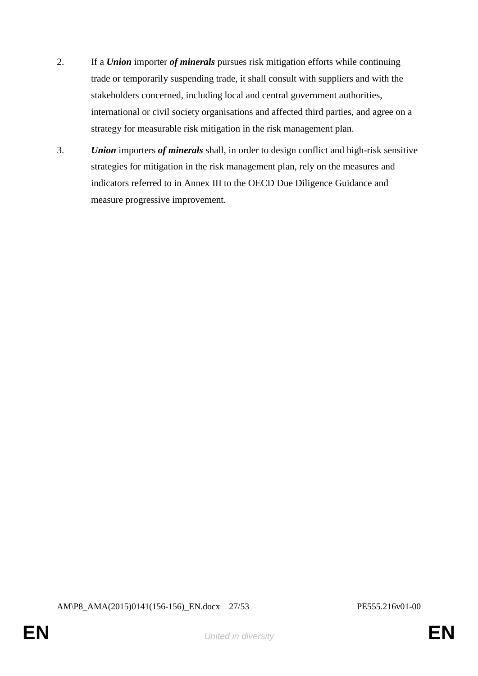- 2. If a *Union* importer *of minerals* pursues risk mitigation efforts while continuing trade or temporarily suspending trade, it shall consult with suppliers and with the stakeholders concerned, including local and central government authorities, international or civil society organisations and affected third parties, and agree on a strategy for measurable risk mitigation in the risk management plan.
- 3. *Union* importers *of minerals* shall, in order to design conflict and high-risk sensitive strategies for mitigation in the risk management plan, rely on the measures and indicators referred to in Annex III to the OECD Due Diligence Guidance and measure progressive improvement.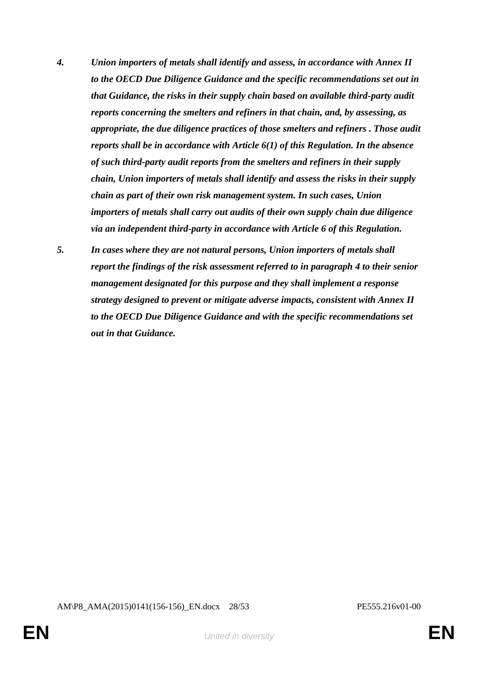- *4. Union importers of metals shall identify and assess, in accordance with Annex II to the OECD Due Diligence Guidance and the specific recommendations set out in that Guidance, the risks in their supply chain based on available third-party audit reports concerning the smelters and refiners in that chain, and, by assessing, as appropriate, the due diligence practices of those smelters and refiners . Those audit reports shall be in accordance with Article 6(1) of this Regulation. In the absence of such third-party audit reports from the smelters and refiners in their supply chain, Union importers of metals shall identify and assess the risks in their supply chain as part of their own risk management system. In such cases, Union importers of metals shall carry out audits of their own supply chain due diligence via an independent third-party in accordance with Article 6 of this Regulation.*
- *5. In cases where they are not natural persons, Union importers of metals shall report the findings of the risk assessment referred to in paragraph 4 to their senior management designated for this purpose and they shall implement a response strategy designed to prevent or mitigate adverse impacts, consistent with Annex II to the OECD Due Diligence Guidance and with the specific recommendations set out in that Guidance.*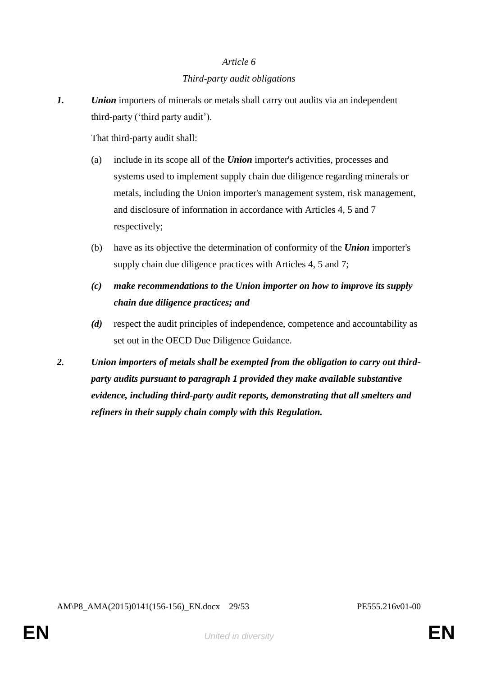# *Article 6 Third-party audit obligations*

*1. Union* importers of minerals or metals shall carry out audits via an independent third-party ('third party audit').

That third-party audit shall:

- (a) include in its scope all of the *Union* importer's activities, processes and systems used to implement supply chain due diligence regarding minerals or metals, including the Union importer's management system, risk management, and disclosure of information in accordance with Articles 4, 5 and 7 respectively;
- (b) have as its objective the determination of conformity of the *Union* importer's supply chain due diligence practices with Articles 4, 5 and 7;
- *(c) make recommendations to the Union importer on how to improve its supply chain due diligence practices; and*
- *(d)* respect the audit principles of independence, competence and accountability as set out in the OECD Due Diligence Guidance.
- *2. Union importers of metals shall be exempted from the obligation to carry out thirdparty audits pursuant to paragraph 1 provided they make available substantive evidence, including third-party audit reports, demonstrating that all smelters and refiners in their supply chain comply with this Regulation.*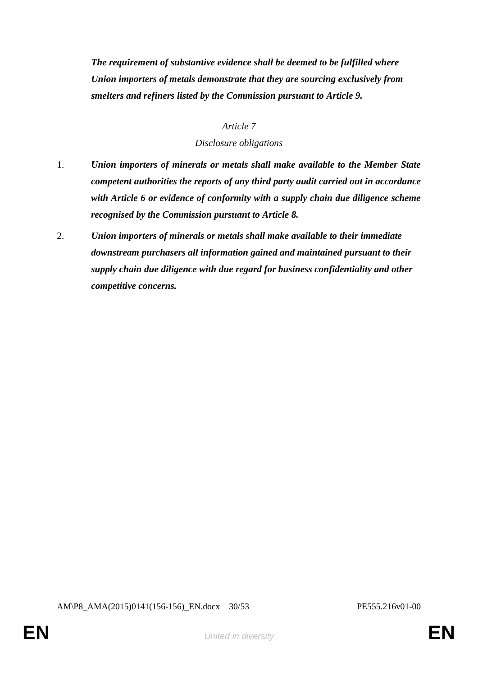*The requirement of substantive evidence shall be deemed to be fulfilled where Union importers of metals demonstrate that they are sourcing exclusively from smelters and refiners listed by the Commission pursuant to Article 9.*

#### *Article 7*

#### *Disclosure obligations*

- 1. *Union importers of minerals or metals shall make available to the Member State competent authorities the reports of any third party audit carried out in accordance with Article 6 or evidence of conformity with a supply chain due diligence scheme recognised by the Commission pursuant to Article 8.*
- 2. *Union importers of minerals or metals shall make available to their immediate downstream purchasers all information gained and maintained pursuant to their supply chain due diligence with due regard for business confidentiality and other competitive concerns.*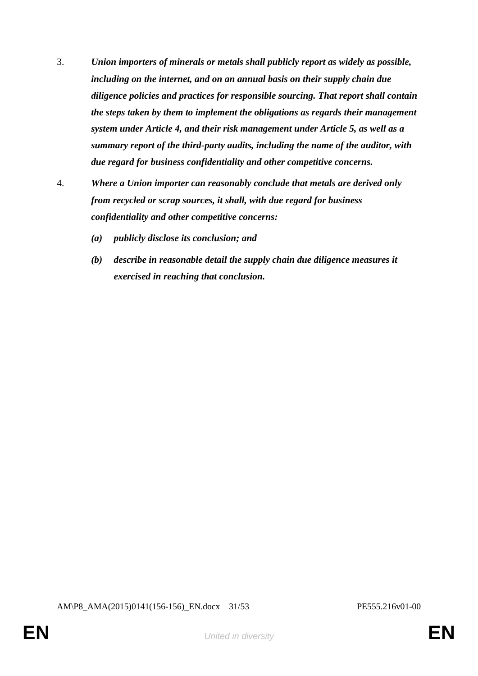- 3. *Union importers of minerals or metals shall publicly report as widely as possible, including on the internet, and on an annual basis on their supply chain due diligence policies and practices for responsible sourcing. That report shall contain the steps taken by them to implement the obligations as regards their management system under Article 4, and their risk management under Article 5, as well as a summary report of the third-party audits, including the name of the auditor, with due regard for business confidentiality and other competitive concerns.*
- 4. *Where a Union importer can reasonably conclude that metals are derived only from recycled or scrap sources, it shall, with due regard for business confidentiality and other competitive concerns:*
	- *(a) publicly disclose its conclusion; and*
	- *(b) describe in reasonable detail the supply chain due diligence measures it exercised in reaching that conclusion.*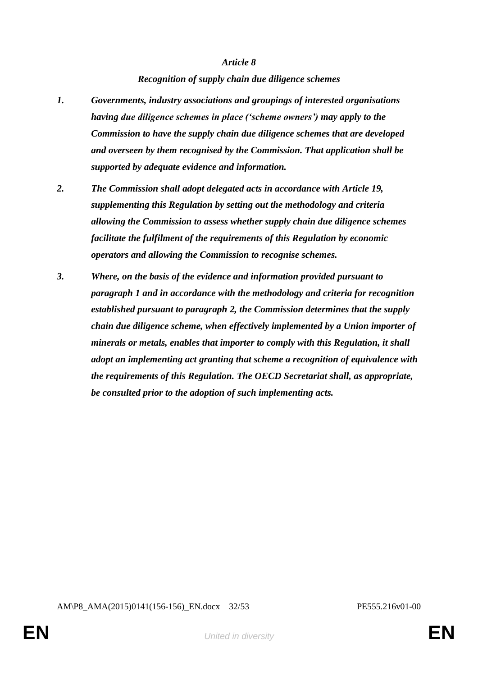#### *Recognition of supply chain due diligence schemes*

- *1. Governments, industry associations and groupings of interested organisations having due diligence schemes in place ('scheme owners') may apply to the Commission to have the supply chain due diligence schemes that are developed and overseen by them recognised by the Commission. That application shall be supported by adequate evidence and information.*
- *2. The Commission shall adopt delegated acts in accordance with Article 19, supplementing this Regulation by setting out the methodology and criteria allowing the Commission to assess whether supply chain due diligence schemes facilitate the fulfilment of the requirements of this Regulation by economic operators and allowing the Commission to recognise schemes.*
- *3. Where, on the basis of the evidence and information provided pursuant to paragraph 1 and in accordance with the methodology and criteria for recognition established pursuant to paragraph 2, the Commission determines that the supply chain due diligence scheme, when effectively implemented by a Union importer of minerals or metals, enables that importer to comply with this Regulation, it shall adopt an implementing act granting that scheme a recognition of equivalence with the requirements of this Regulation. The OECD Secretariat shall, as appropriate, be consulted prior to the adoption of such implementing acts.*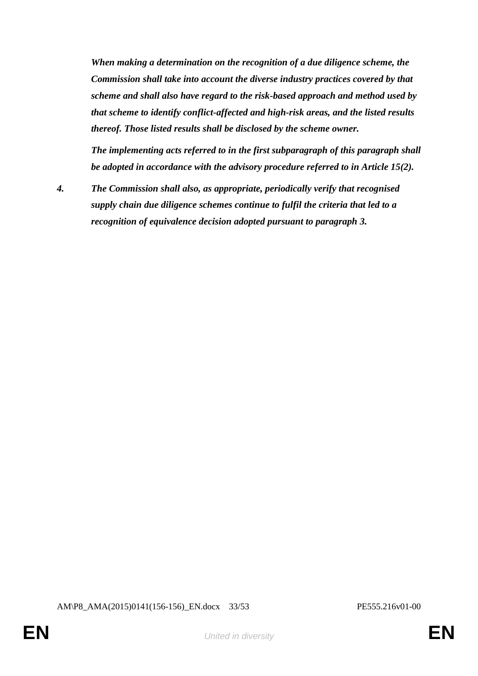*When making a determination on the recognition of a due diligence scheme, the Commission shall take into account the diverse industry practices covered by that scheme and shall also have regard to the risk-based approach and method used by that scheme to identify conflict-affected and high-risk areas, and the listed results thereof. Those listed results shall be disclosed by the scheme owner.* 

*The implementing acts referred to in the first subparagraph of this paragraph shall be adopted in accordance with the advisory procedure referred to in Article 15(2).*

*4. The Commission shall also, as appropriate, periodically verify that recognised supply chain due diligence schemes continue to fulfil the criteria that led to a recognition of equivalence decision adopted pursuant to paragraph 3.*

AM\P8\_AMA(2015)0141(156-156)\_EN.docx 33/53 PE555.216v01-00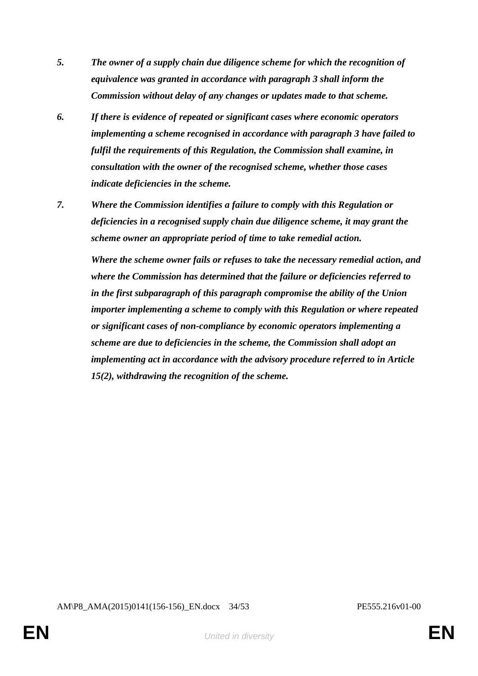- *5. The owner of a supply chain due diligence scheme for which the recognition of equivalence was granted in accordance with paragraph 3 shall inform the Commission without delay of any changes or updates made to that scheme.*
- *6. If there is evidence of repeated or significant cases where economic operators implementing a scheme recognised in accordance with paragraph 3 have failed to fulfil the requirements of this Regulation, the Commission shall examine, in consultation with the owner of the recognised scheme, whether those cases indicate deficiencies in the scheme.*
- *7. Where the Commission identifies a failure to comply with this Regulation or deficiencies in a recognised supply chain due diligence scheme, it may grant the scheme owner an appropriate period of time to take remedial action.*

*Where the scheme owner fails or refuses to take the necessary remedial action, and where the Commission has determined that the failure or deficiencies referred to in the first subparagraph of this paragraph compromise the ability of the Union importer implementing a scheme to comply with this Regulation or where repeated or significant cases of non-compliance by economic operators implementing a scheme are due to deficiencies in the scheme, the Commission shall adopt an implementing act in accordance with the advisory procedure referred to in Article 15(2), withdrawing the recognition of the scheme.*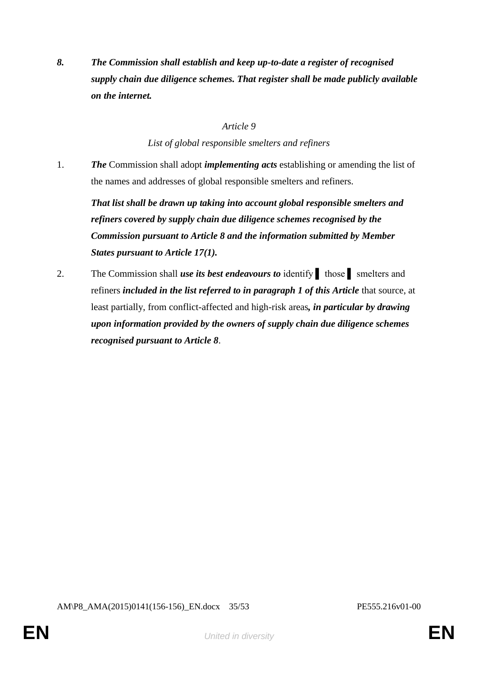*8. The Commission shall establish and keep up-to-date a register of recognised supply chain due diligence schemes. That register shall be made publicly available on the internet.*

#### *Article 9*

*List of global responsible smelters and refiners*

1. *The* Commission shall adopt *implementing acts* establishing or amending the list of the names and addresses of global responsible smelters and refiners.

*That list shall be drawn up taking into account global responsible smelters and refiners covered by supply chain due diligence schemes recognised by the Commission pursuant to Article 8 and the information submitted by Member States pursuant to Article 17(1).*

2. The Commission shall *use its best endeavours to* identify those smelters and refiners *included in the list referred to in paragraph 1 of this Article that source*, at least partially, from conflict-affected and high-risk areas*, in particular by drawing upon information provided by the owners of supply chain due diligence schemes recognised pursuant to Article 8*.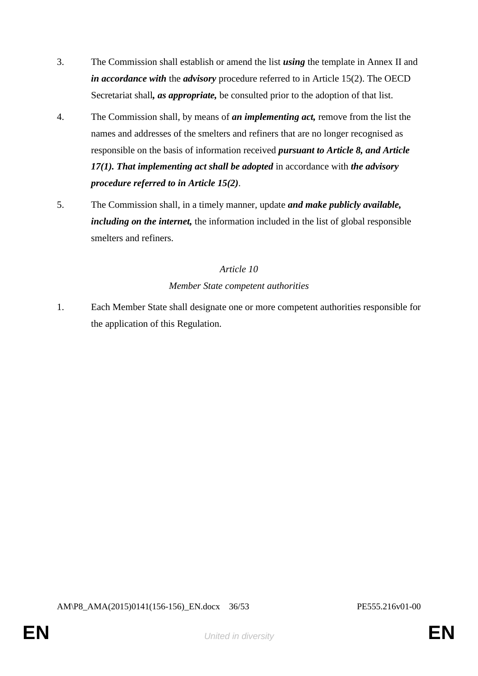- 3. The Commission shall establish or amend the list *using* the template in Annex II and *in accordance with* the *advisory* procedure referred to in Article 15(2). The OECD Secretariat shall*, as appropriate,* be consulted prior to the adoption of that list.
- 4. The Commission shall, by means of *an implementing act,* remove from the list the names and addresses of the smelters and refiners that are no longer recognised as responsible on the basis of information received *pursuant to Article 8, and Article 17(1). That implementing act shall be adopted* in accordance with *the advisory procedure referred to in Article 15(2)*.
- 5. The Commission shall, in a timely manner, update *and make publicly available, including on the internet,* the information included in the list of global responsible smelters and refiners.

#### *Member State competent authorities*

1. Each Member State shall designate one or more competent authorities responsible for the application of this Regulation.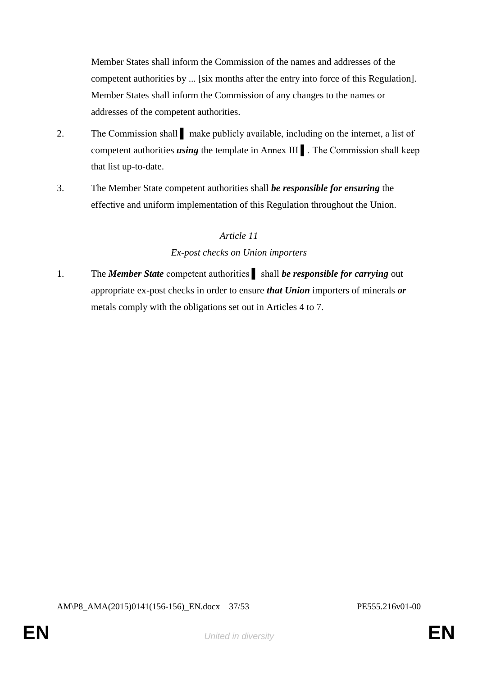Member States shall inform the Commission of the names and addresses of the competent authorities by ... [six months after the entry into force of this Regulation]. Member States shall inform the Commission of any changes to the names or addresses of the competent authorities.

- 2. The Commission shall make publicly available, including on the internet, a list of competent authorities *using* the template in Annex III ▌. The Commission shall keep that list up-to-date.
- 3. The Member State competent authorities shall *be responsible for ensuring* the effective and uniform implementation of this Regulation throughout the Union.

## *Article 11*

## *Ex-post checks on Union importers*

1. The *Member State* competent authorities shall *be responsible for carrying* out appropriate ex-post checks in order to ensure *that Union* importers of minerals *or* metals comply with the obligations set out in Articles 4 to 7.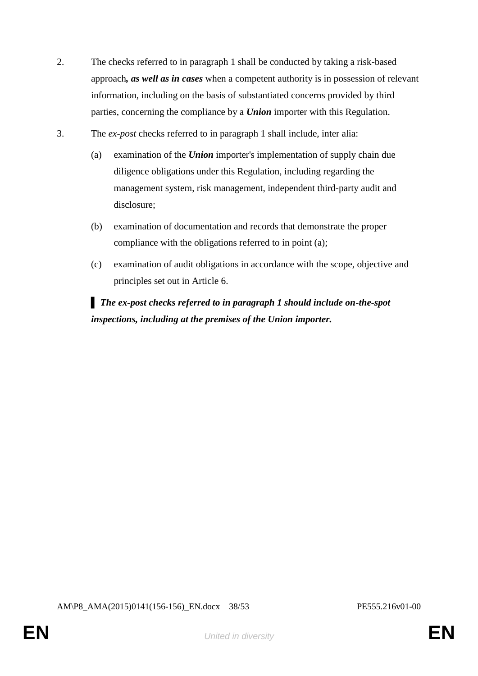- 2. The checks referred to in paragraph 1 shall be conducted by taking a risk-based approach*, as well as in cases* when a competent authority is in possession of relevant information, including on the basis of substantiated concerns provided by third parties, concerning the compliance by a *Union* importer with this Regulation.
- 3. The *ex-post* checks referred to in paragraph 1 shall include, inter alia:
	- (a) examination of the *Union* importer's implementation of supply chain due diligence obligations under this Regulation, including regarding the management system, risk management, independent third-party audit and disclosure;
	- (b) examination of documentation and records that demonstrate the proper compliance with the obligations referred to in point (a);
	- (c) examination of audit obligations in accordance with the scope, objective and principles set out in Article 6.

▌ *The ex-post checks referred to in paragraph 1 should include on-the-spot inspections, including at the premises of the Union importer.*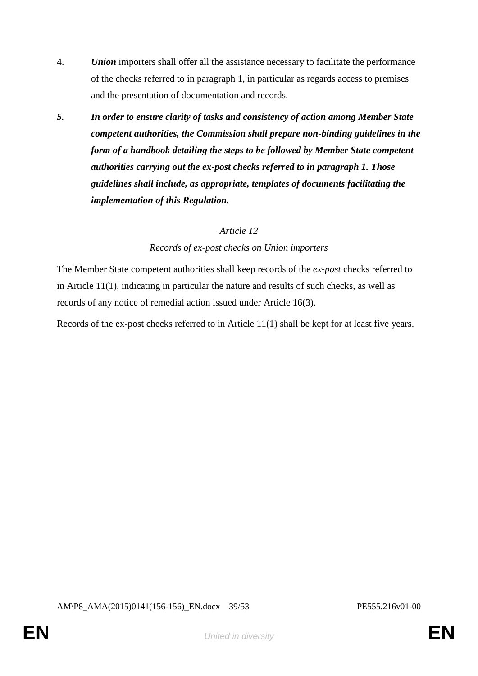- 4. *Union* importers shall offer all the assistance necessary to facilitate the performance of the checks referred to in paragraph 1, in particular as regards access to premises and the presentation of documentation and records.
- *5. In order to ensure clarity of tasks and consistency of action among Member State competent authorities, the Commission shall prepare non-binding guidelines in the form of a handbook detailing the steps to be followed by Member State competent authorities carrying out the ex-post checks referred to in paragraph 1. Those guidelines shall include, as appropriate, templates of documents facilitating the implementation of this Regulation.*

#### *Records of ex-post checks on Union importers*

The Member State competent authorities shall keep records of the *ex-post* checks referred to in Article 11(1), indicating in particular the nature and results of such checks, as well as records of any notice of remedial action issued under Article 16(3).

Records of the ex-post checks referred to in Article 11(1) shall be kept for at least five years.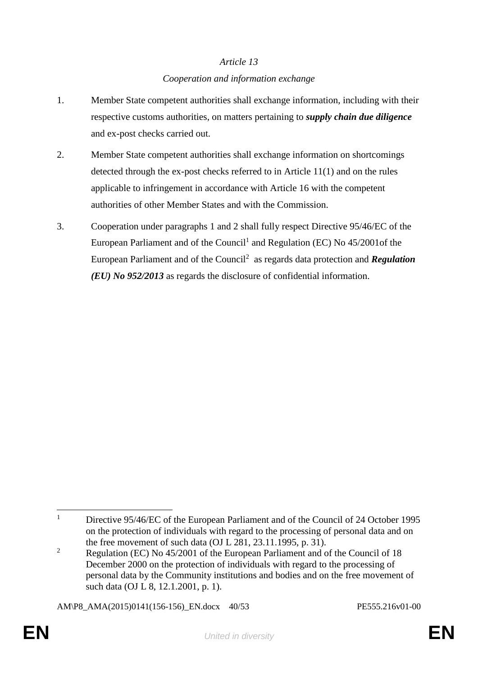# *Article 13 Cooperation and information exchange*

- 1. Member State competent authorities shall exchange information, including with their respective customs authorities, on matters pertaining to *supply chain due diligence* and ex-post checks carried out.
- 2. Member State competent authorities shall exchange information on shortcomings detected through the ex-post checks referred to in Article 11(1) and on the rules applicable to infringement in accordance with Article 16 with the competent authorities of other Member States and with the Commission.
- 3. Cooperation under paragraphs 1 and 2 shall fully respect Directive 95/46/EC of the European Parliament and of the Council<sup>1</sup> and Regulation (EC) No  $45/2001$  of the European Parliament and of the Council<sup>2</sup> as regards data protection and *Regulation (EU) No 952/2013* as regards the disclosure of confidential information.

AM\P8\_AMA(2015)0141(156-156)\_EN.docx 40/53 PE555.216v01-00

 $\mathbf{1}$ <sup>1</sup> Directive 95/46/EC of the European Parliament and of the Council of 24 October 1995 on the protection of individuals with regard to the processing of personal data and on the free movement of such data (OJ L  $\overline{281}$ ,  $\overline{23.11.1995}$ , p. 31).

<sup>&</sup>lt;sup>2</sup> Regulation (EC) No  $45/2001$  of the European Parliament and of the Council of 18 December 2000 on the protection of individuals with regard to the processing of personal data by the Community institutions and bodies and on the free movement of such data (OJ L 8, 12.1.2001, p. 1).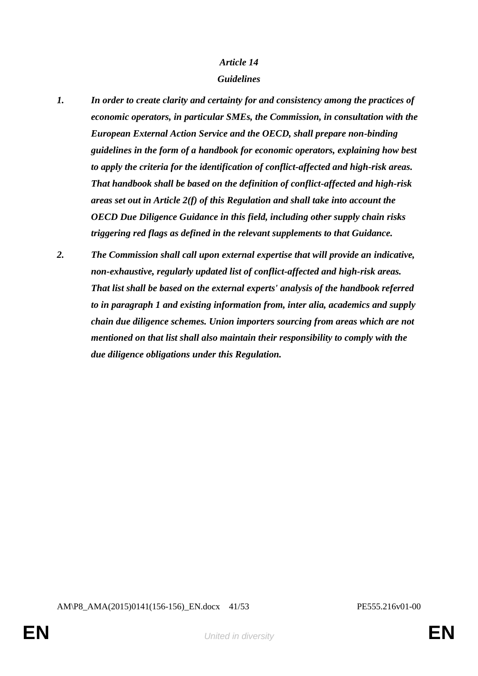## *Guidelines*

- *1. In order to create clarity and certainty for and consistency among the practices of economic operators, in particular SMEs, the Commission, in consultation with the European External Action Service and the OECD, shall prepare non-binding guidelines in the form of a handbook for economic operators, explaining how best to apply the criteria for the identification of conflict-affected and high-risk areas. That handbook shall be based on the definition of conflict-affected and high-risk areas set out in Article 2(f) of this Regulation and shall take into account the OECD Due Diligence Guidance in this field, including other supply chain risks triggering red flags as defined in the relevant supplements to that Guidance.*
- *2. The Commission shall call upon external expertise that will provide an indicative, non-exhaustive, regularly updated list of conflict-affected and high-risk areas. That list shall be based on the external experts' analysis of the handbook referred to in paragraph 1 and existing information from, inter alia, academics and supply chain due diligence schemes. Union importers sourcing from areas which are not mentioned on that list shall also maintain their responsibility to comply with the due diligence obligations under this Regulation.*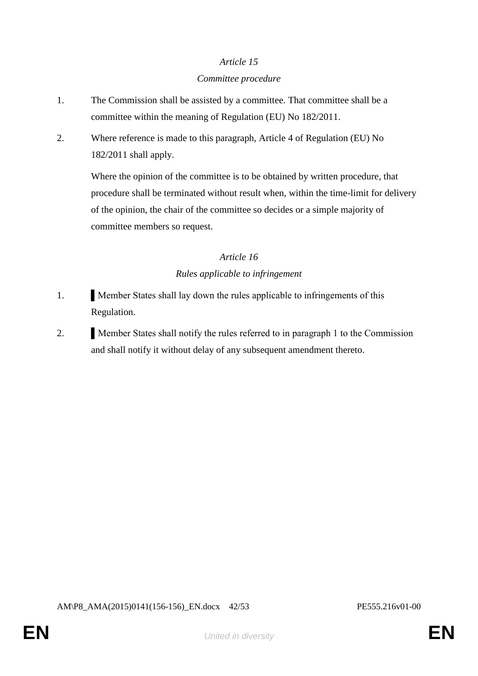#### *Committee procedure*

- 1. The Commission shall be assisted by a committee. That committee shall be a committee within the meaning of Regulation (EU) No 182/2011.
- 2. Where reference is made to this paragraph, Article 4 of Regulation (EU) No 182/2011 shall apply.

Where the opinion of the committee is to be obtained by written procedure, that procedure shall be terminated without result when, within the time-limit for delivery of the opinion, the chair of the committee so decides or a simple majority of committee members so request.

# *Article 16 Rules applicable to infringement*

- 1. **If Member States shall lay down the rules applicable to infringements of this** Regulation.
- 2. **I** Member States shall notify the rules referred to in paragraph 1 to the Commission and shall notify it without delay of any subsequent amendment thereto.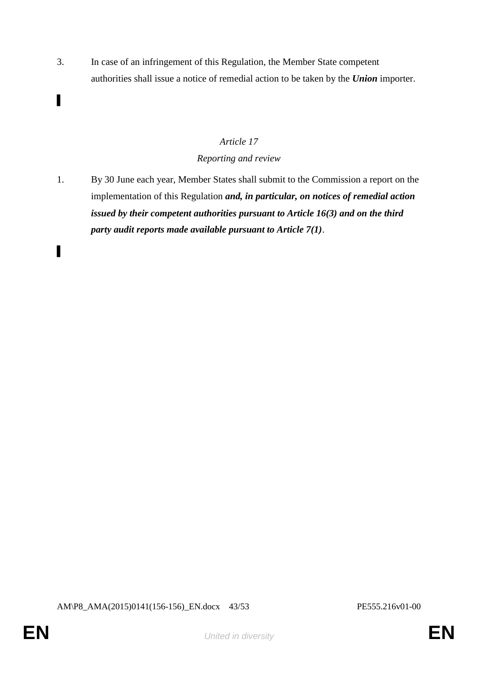3. In case of an infringement of this Regulation, the Member State competent authorities shall issue a notice of remedial action to be taken by the *Union* importer.

# *Article 17*

## *Reporting and review*

1. By 30 June each year, Member States shall submit to the Commission a report on the implementation of this Regulation *and, in particular, on notices of remedial action issued by their competent authorities pursuant to Article 16(3) and on the third party audit reports made available pursuant to Article 7(1)*.

▌

▌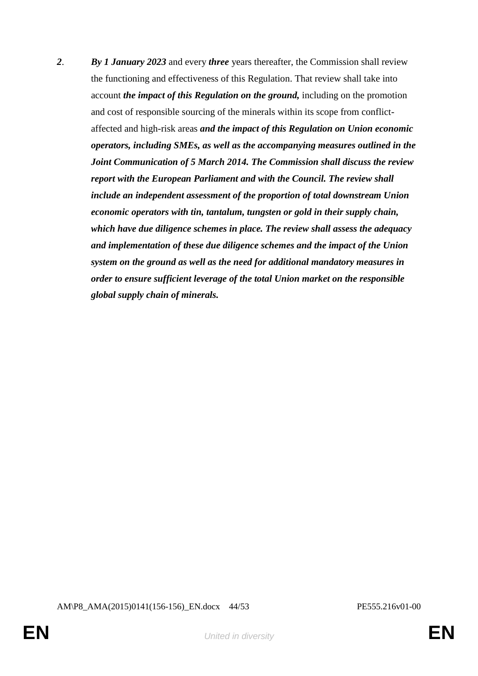*2*. *By 1 January 2023* and every *three* years thereafter, the Commission shall review the functioning and effectiveness of this Regulation. That review shall take into account *the impact of this Regulation on the ground,* including on the promotion and cost of responsible sourcing of the minerals within its scope from conflictaffected and high-risk areas *and the impact of this Regulation on Union economic operators, including SMEs, as well as the accompanying measures outlined in the Joint Communication of 5 March 2014. The Commission shall discuss the review report with the European Parliament and with the Council. The review shall include an independent assessment of the proportion of total downstream Union economic operators with tin, tantalum, tungsten or gold in their supply chain, which have due diligence schemes in place. The review shall assess the adequacy and implementation of these due diligence schemes and the impact of the Union system on the ground as well as the need for additional mandatory measures in order to ensure sufficient leverage of the total Union market on the responsible global supply chain of minerals.*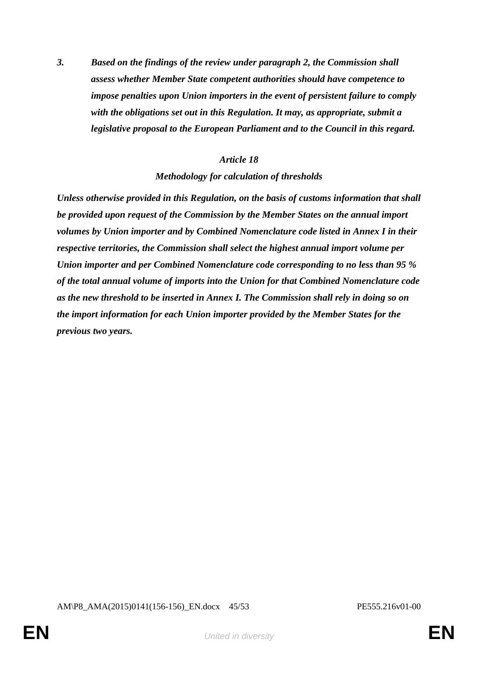*3. Based on the findings of the review under paragraph 2, the Commission shall assess whether Member State competent authorities should have competence to impose penalties upon Union importers in the event of persistent failure to comply with the obligations set out in this Regulation. It may, as appropriate, submit a legislative proposal to the European Parliament and to the Council in this regard.*

#### *Article 18*

#### *Methodology for calculation of thresholds*

*Unless otherwise provided in this Regulation, on the basis of customs information that shall be provided upon request of the Commission by the Member States on the annual import volumes by Union importer and by Combined Nomenclature code listed in Annex I in their respective territories, the Commission shall select the highest annual import volume per Union importer and per Combined Nomenclature code corresponding to no less than 95 % of the total annual volume of imports into the Union for that Combined Nomenclature code as the new threshold to be inserted in Annex I. The Commission shall rely in doing so on the import information for each Union importer provided by the Member States for the previous two years.*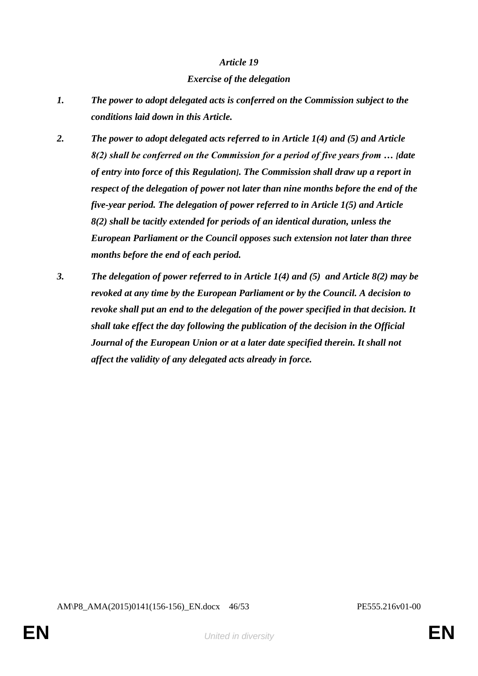#### *Exercise of the delegation*

- *1. The power to adopt delegated acts is conferred on the Commission subject to the conditions laid down in this Article.*
- *2. The power to adopt delegated acts referred to in Article 1(4) and (5) and Article 8(2) shall be conferred on the Commission for a period of five years from … [date of entry into force of this Regulation]. The Commission shall draw up a report in respect of the delegation of power not later than nine months before the end of the five-year period. The delegation of power referred to in Article 1(5) and Article 8(2) shall be tacitly extended for periods of an identical duration, unless the European Parliament or the Council opposes such extension not later than three months before the end of each period.*
- *3. The delegation of power referred to in Article 1(4) and (5) and Article 8(2) may be revoked at any time by the European Parliament or by the Council. A decision to revoke shall put an end to the delegation of the power specified in that decision. It shall take effect the day following the publication of the decision in the Official Journal of the European Union or at a later date specified therein. It shall not affect the validity of any delegated acts already in force.*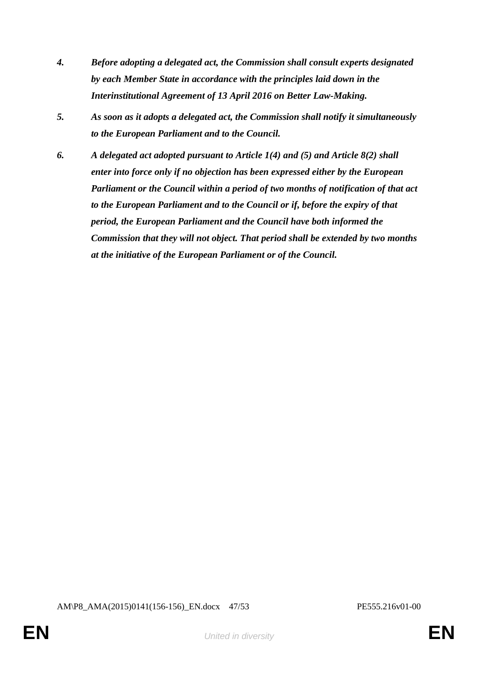- *4. Before adopting a delegated act, the Commission shall consult experts designated by each Member State in accordance with the principles laid down in the Interinstitutional Agreement of 13 April 2016 on Better Law-Making.*
- *5. As soon as it adopts a delegated act, the Commission shall notify it simultaneously to the European Parliament and to the Council.*
- *6. A delegated act adopted pursuant to Article 1(4) and (5) and Article 8(2) shall enter into force only if no objection has been expressed either by the European Parliament or the Council within a period of two months of notification of that act to the European Parliament and to the Council or if, before the expiry of that period, the European Parliament and the Council have both informed the Commission that they will not object. That period shall be extended by two months at the initiative of the European Parliament or of the Council.*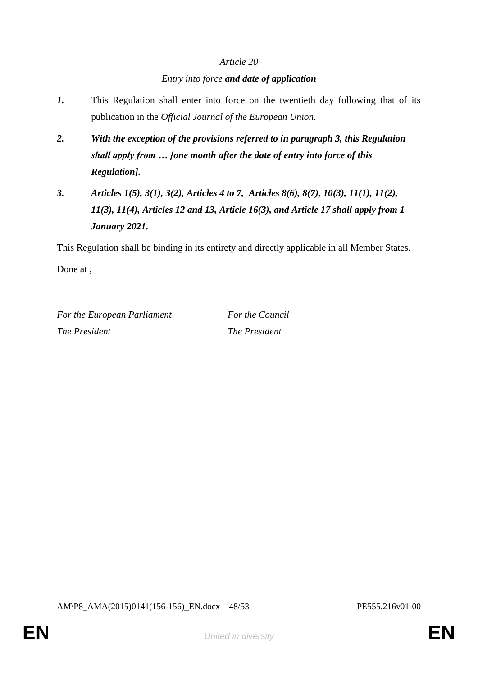# *Article 20 Entry into force and date of application*

- *1.* This Regulation shall enter into force on the twentieth day following that of its publication in the *Official Journal of the European Union*.
- *2. With the exception of the provisions referred to in paragraph 3, this Regulation shall apply from … [one month after the date of entry into force of this Regulation].*
- *3. Articles 1(5), 3(1), 3(2), Articles 4 to 7, Articles 8(6), 8(7), 10(3), 11(1), 11(2), 11(3), 11(4), Articles 12 and 13, Article 16(3), and Article 17 shall apply from 1 January 2021.*

This Regulation shall be binding in its entirety and directly applicable in all Member States. Done at ,

*For the European Parliament For the Council The President The President*

AM\P8\_AMA(2015)0141(156-156)\_EN.docx 48/53 PE555.216v01-00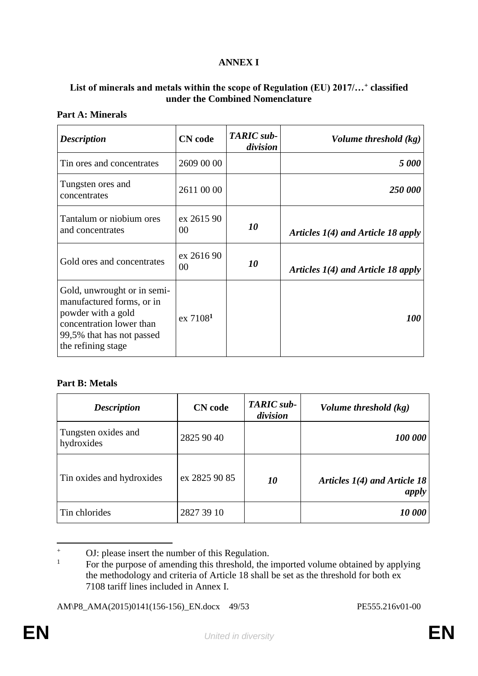### **ANNEX I**

### **List of minerals and metals within the scope of Regulation (EU) 2017/…<sup>+</sup> classified under the Combined Nomenclature**

#### **Part A: Minerals**

| <b>Description</b>                                                                                                                                            | <b>CN</b> code         | TARIC sub-<br>division | Volume threshold (kg)                |
|---------------------------------------------------------------------------------------------------------------------------------------------------------------|------------------------|------------------------|--------------------------------------|
| Tin ores and concentrates                                                                                                                                     | 2609 00 00             |                        | <b>5 000</b>                         |
| Tungsten ores and<br>concentrates                                                                                                                             | 2611 00 00             |                        | 250 000                              |
| Tantalum or niobium ores<br>and concentrates                                                                                                                  | ex 2615 90<br>00       | 10                     | Articles $I(4)$ and Article 18 apply |
| Gold ores and concentrates                                                                                                                                    | ex 2616 90<br>00       | 10                     | Articles $1(4)$ and Article 18 apply |
| Gold, unwrought or in semi-<br>manufactured forms, or in<br>powder with a gold<br>concentration lower than<br>99,5% that has not passed<br>the refining stage | $ex$ 7108 <sup>1</sup> |                        | <i>100</i>                           |

#### **Part B: Metals**

| <b>Description</b>                | <b>CN</b> code | TARIC sub-<br>division | Volume threshold (kg)                   |
|-----------------------------------|----------------|------------------------|-----------------------------------------|
| Tungsten oxides and<br>hydroxides | 2825 90 40     |                        | 100 000                                 |
| Tin oxides and hydroxides         | ex 2825 90 85  | 10                     | Articles $1(4)$ and Article 18<br>apply |
| Tin chlorides                     | 2827 39 10     |                        | 10 000                                  |

 $\ddot{+}$ <sup>+</sup> OJ: please insert the number of this Regulation.

<sup>1</sup> For the purpose of amending this threshold, the imported volume obtained by applying the methodology and criteria of Article 18 shall be set as the threshold for both ex 7108 tariff lines included in Annex I.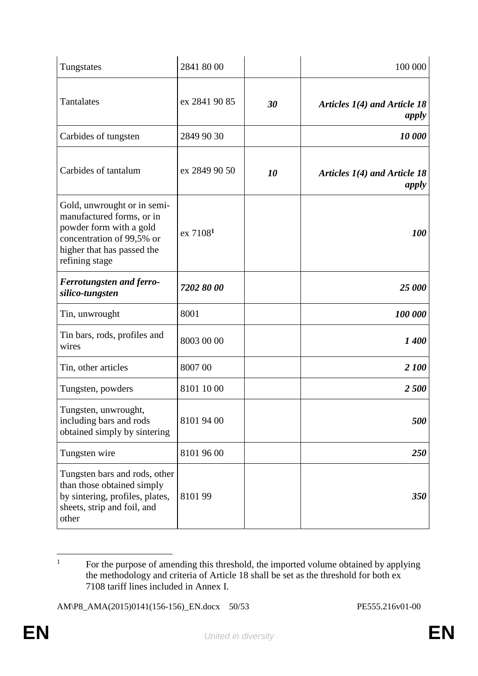| Tungstates                                                                                                                                                       | 2841 80 00           |           | 100 000                                 |
|------------------------------------------------------------------------------------------------------------------------------------------------------------------|----------------------|-----------|-----------------------------------------|
| Tantalates                                                                                                                                                       | ex 2841 90 85        | 30        | Articles 1(4) and Article 18<br>apply   |
| Carbides of tungsten                                                                                                                                             | 2849 90 30           |           | 10 000                                  |
| Carbides of tantalum                                                                                                                                             | ex 2849 90 50        | <i>10</i> | Articles $1(4)$ and Article 18<br>apply |
| Gold, unwrought or in semi-<br>manufactured forms, or in<br>powder form with a gold<br>concentration of 99,5% or<br>higher that has passed the<br>refining stage | ex 7108 <sup>1</sup> |           | 100                                     |
| <b>Ferrotungsten and ferro-</b><br>silico-tungsten                                                                                                               | 7202 80 00           |           | 25 000                                  |
| Tin, unwrought                                                                                                                                                   | 8001                 |           | 100 000                                 |
| Tin bars, rods, profiles and<br>wires                                                                                                                            | 8003 00 00           |           | 1400                                    |
| Tin, other articles                                                                                                                                              | 8007 00              |           | 2 100                                   |
| Tungsten, powders                                                                                                                                                | 8101 10 00           |           | 2500                                    |
| Tungsten, unwrought,<br>including bars and rods<br>obtained simply by sintering                                                                                  | 8101 94 00           |           | 500                                     |
| Tungsten wire                                                                                                                                                    | 8101 96 00           |           | 250                                     |
| Tungsten bars and rods, other<br>than those obtained simply<br>by sintering, profiles, plates,<br>sheets, strip and foil, and<br>other                           | 810199               |           | 350                                     |

 $\overline{1}$ <sup>1</sup> For the purpose of amending this threshold, the imported volume obtained by applying the methodology and criteria of Article 18 shall be set as the threshold for both ex 7108 tariff lines included in Annex I.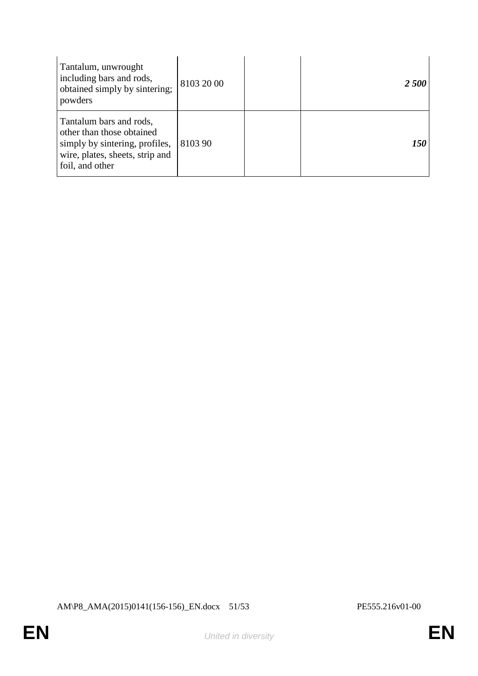| Tantalum, unwrought<br>including bars and rods,<br>obtained simply by sintering;<br>powders                                                  | 8103 20 00 | <b>2500</b> |
|----------------------------------------------------------------------------------------------------------------------------------------------|------------|-------------|
| Tantalum bars and rods,<br>other than those obtained<br>simply by sintering, profiles,<br>wire, plates, sheets, strip and<br>foil, and other | 8103 90    | <i>150</i>  |

AM\P8\_AMA(2015)0141(156-156)\_EN.docx 51/53 PE555.216v01-00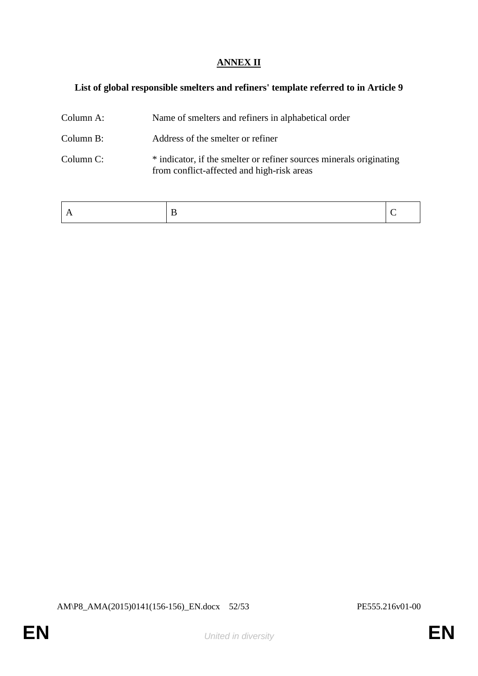## **ANNEX II**

# **List of global responsible smelters and refiners' template referred to in Article 9**

| Column A: | Name of smelters and refiners in alphabetical order                                                               |
|-----------|-------------------------------------------------------------------------------------------------------------------|
| Column B: | Address of the smelter or refiner                                                                                 |
| Column C: | * indicator, if the smelter or refiner sources minerals originating<br>from conflict-affected and high-risk areas |

|--|--|

AM\P8\_AMA(2015)0141(156-156)\_EN.docx 52/53 PE555.216v01-00